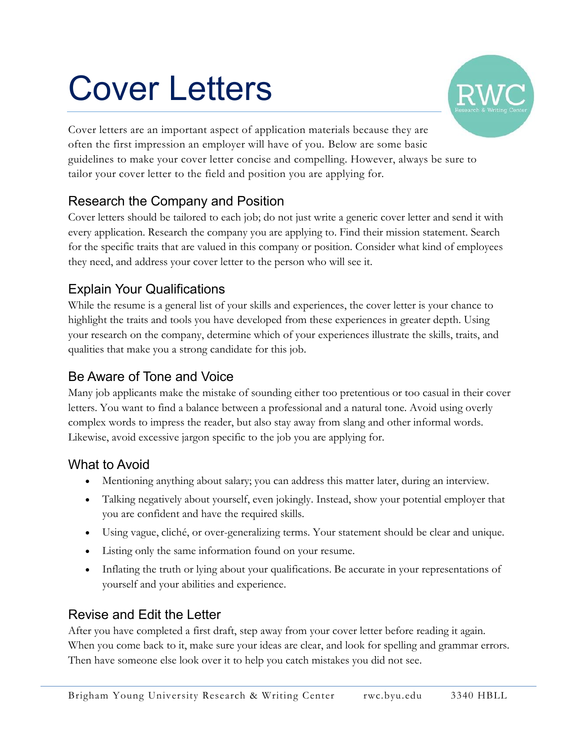# Cover Letters



Cover letters are an important aspect of application materials because they are often the first impression an employer will have of you. Below are some basic guidelines to make your cover letter concise and compelling. However, always be sure to tailor your cover letter to the field and position you are applying for.

## Research the Company and Position

Cover letters should be tailored to each job; do not just write a generic cover letter and send it with every application. Research the company you are applying to. Find their mission statement. Search for the specific traits that are valued in this company or position. Consider what kind of employees they need, and address your cover letter to the person who will see it.

## Explain Your Qualifications

While the resume is a general list of your skills and experiences, the cover letter is your chance to highlight the traits and tools you have developed from these experiences in greater depth. Using your research on the company, determine which of your experiences illustrate the skills, traits, and qualities that make you a strong candidate for this job.

## Be Aware of Tone and Voice

Many job applicants make the mistake of sounding either too pretentious or too casual in their cover letters. You want to find a balance between a professional and a natural tone. Avoid using overly complex words to impress the reader, but also stay away from slang and other informal words. Likewise, avoid excessive jargon specific to the job you are applying for.

### What to Avoid

- Mentioning anything about salary; you can address this matter later, during an interview.
- Talking negatively about yourself, even jokingly. Instead, show your potential employer that you are confident and have the required skills.
- Using vague, cliché, or over-generalizing terms. Your statement should be clear and unique.
- Listing only the same information found on your resume.
- Inflating the truth or lying about your qualifications. Be accurate in your representations of yourself and your abilities and experience.

### Revise and Edit the Letter

After you have completed a first draft, step away from your cover letter before reading it again. When you come back to it, make sure your ideas are clear, and look for spelling and grammar errors. Then have someone else look over it to help you catch mistakes you did not see.